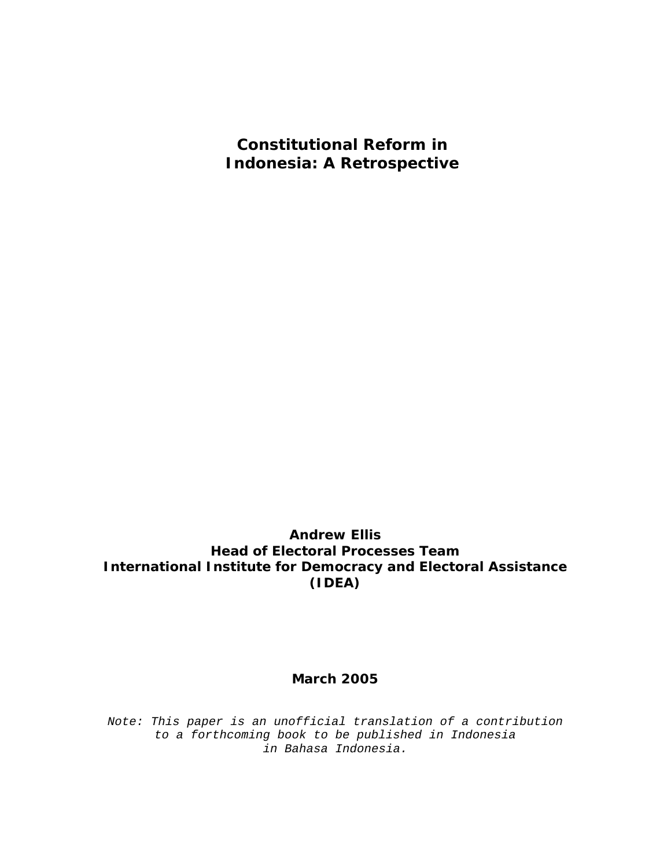**Constitutional Reform in Indonesia: A Retrospective** 

**Andrew Ellis Head of Electoral Processes Team International Institute for Democracy and Electoral Assistance (IDEA)** 

#### **March 2005**

*Note: This paper is an unofficial translation of a contribution to a forthcoming book to be published in Indonesia in Bahasa Indonesia.*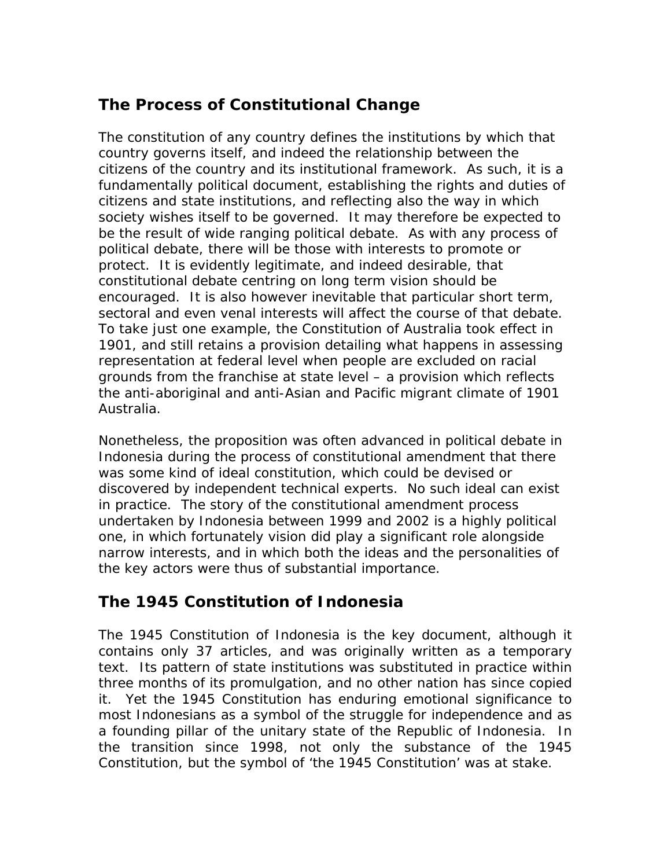# *The Process of Constitutional Change*

The constitution of any country defines the institutions by which that country governs itself, and indeed the relationship between the citizens of the country and its institutional framework. As such, it is a fundamentally political document, establishing the rights and duties of citizens and state institutions, and reflecting also the way in which society wishes itself to be governed. It may therefore be expected to be the result of wide ranging political debate. As with any process of political debate, there will be those with interests to promote or protect. It is evidently legitimate, and indeed desirable, that constitutional debate centring on long term vision should be encouraged. It is also however inevitable that particular short term, sectoral and even venal interests will affect the course of that debate. To take just one example, the Constitution of Australia took effect in 1901, and still retains a provision detailing what happens in assessing representation at federal level when people are excluded on racial grounds from the franchise at state level – a provision which reflects the anti-aboriginal and anti-Asian and Pacific migrant climate of 1901 Australia.

Nonetheless, the proposition was often advanced in political debate in Indonesia during the process of constitutional amendment that there was some kind of ideal constitution, which could be devised or discovered by independent technical experts. No such ideal can exist in practice. The story of the constitutional amendment process undertaken by Indonesia between 1999 and 2002 is a highly political one, in which fortunately vision did play a significant role alongside narrow interests, and in which both the ideas and the personalities of the key actors were thus of substantial importance.

## *The 1945 Constitution of Indonesia*

The 1945 Constitution of Indonesia is the key document, although it contains only 37 articles, and was originally written as a temporary text. Its pattern of state institutions was substituted in practice within three months of its promulgation, and no other nation has since copied it. Yet the 1945 Constitution has enduring emotional significance to most Indonesians as a symbol of the struggle for independence and as a founding pillar of the unitary state of the Republic of Indonesia. In the transition since 1998, not only the substance of the 1945 Constitution, but the symbol of 'the 1945 Constitution' was at stake.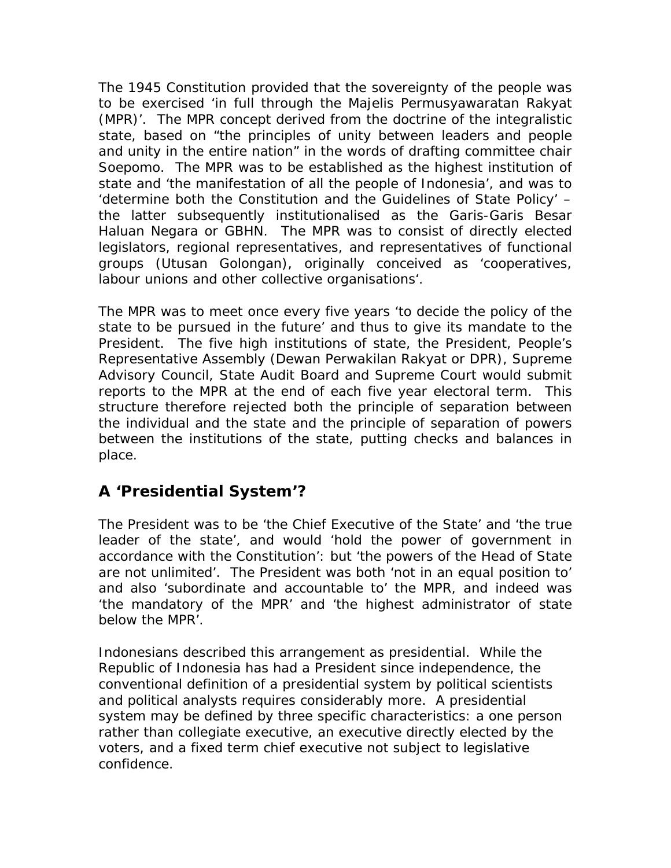The 1945 Constitution provided that the sovereignty of the people was to be exercised 'in full through the *Majelis Permusyawaratan Rakyat* (MPR)'. The MPR concept derived from the doctrine of the integralistic state, based on "the principles of unity between leaders and people and unity in the entire nation" in the words of drafting committee chair Soepomo. The MPR was to be established as the highest institution of state and 'the manifestation of all the people of Indonesia', and was to 'determine both the Constitution and the Guidelines of State Policy' – the latter subsequently institutionalised as the *Garis-Garis Besar Haluan Negara* or GBHN. The MPR was to consist of directly elected legislators, regional representatives, and representatives of functional groups (*Utusan Golongan*), originally conceived as 'cooperatives, labour unions and other collective organisations'.

The MPR was to meet once every five years 'to decide the policy of the state to be pursued in the future' and thus to give its mandate to the President. The five high institutions of state, the President, People's Representative Assembly (*Dewan Perwakilan Rakyat* or DPR), Supreme Advisory Council, State Audit Board and Supreme Court would submit reports to the MPR at the end of each five year electoral term. This structure therefore rejected both the principle of separation between the individual and the state and the principle of separation of powers between the institutions of the state, putting checks and balances in place.

#### *A 'Presidential System'?*

The President was to be 'the Chief Executive of the State' and 'the true leader of the state', and would 'hold the power of government in accordance with the Constitution': but 'the powers of the Head of State are not unlimited'. The President was both 'not in an equal position to' and also 'subordinate and accountable to' the MPR, and indeed was 'the mandatory of the MPR' and 'the highest administrator of state below the MPR'.

Indonesians described this arrangement as presidential. While the Republic of Indonesia has had a President since independence, the conventional definition of a presidential system by political scientists and political analysts requires considerably more. A presidential system may be defined by three specific characteristics: a one person rather than collegiate executive, an executive directly elected by the voters, and a fixed term chief executive not subject to legislative confidence.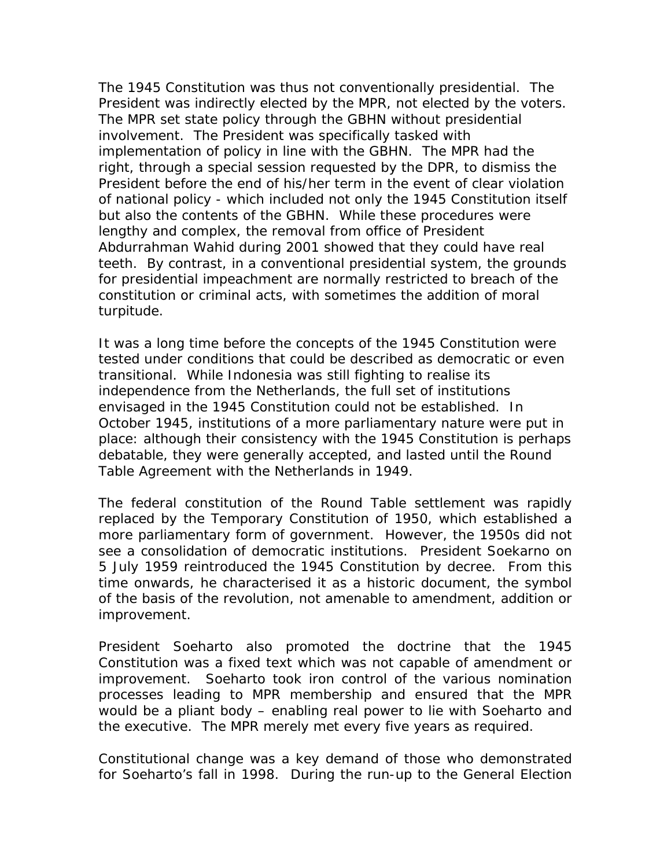The 1945 Constitution was thus not conventionally presidential. The President was indirectly elected by the MPR, not elected by the voters*.* The MPR set state policy through the GBHN without presidential involvement. The President was specifically tasked with implementation of policy in line with the GBHN. The MPR had the right, through a special session requested by the DPR, to dismiss the President before the end of his/her term in the event of clear violation of national policy - which included not only the 1945 Constitution itself but also the contents of the GBHN. While these procedures were lengthy and complex, the removal from office of President Abdurrahman Wahid during 2001 showed that they could have real teeth. By contrast, in a conventional presidential system, the grounds for presidential impeachment are normally restricted to breach of the constitution or criminal acts, with sometimes the addition of moral turpitude.

It was a long time before the concepts of the 1945 Constitution were tested under conditions that could be described as democratic or even transitional. While Indonesia was still fighting to realise its independence from the Netherlands, the full set of institutions envisaged in the 1945 Constitution could not be established. In October 1945, institutions of a more parliamentary nature were put in place: although their consistency with the 1945 Constitution is perhaps debatable, they were generally accepted, and lasted until the Round Table Agreement with the Netherlands in 1949.

The federal constitution of the Round Table settlement was rapidly replaced by the Temporary Constitution of 1950, which established a more parliamentary form of government. However, the 1950s did not see a consolidation of democratic institutions. President Soekarno on 5 July 1959 reintroduced the 1945 Constitution by decree. From this time onwards, he characterised it as a historic document, the symbol of the basis of the revolution, not amenable to amendment, addition or improvement.

President Soeharto also promoted the doctrine that the 1945 Constitution was a fixed text which was not capable of amendment or improvement. Soeharto took iron control of the various nomination processes leading to MPR membership and ensured that the MPR would be a pliant body – enabling real power to lie with Soeharto and the executive. The MPR merely met every five years as required.

Constitutional change was a key demand of those who demonstrated for Soeharto's fall in 1998. During the run-up to the General Election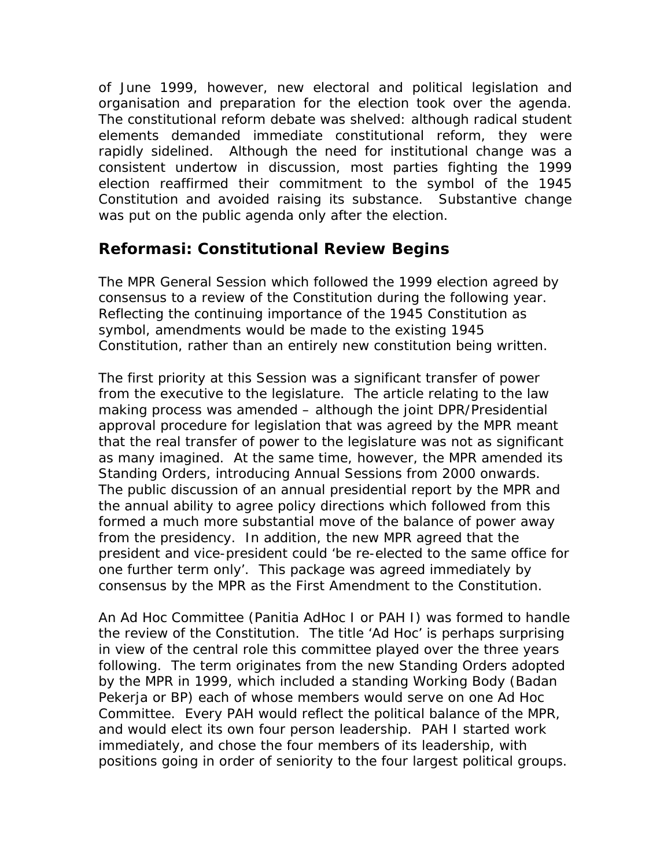of June 1999, however, new electoral and political legislation and organisation and preparation for the election took over the agenda. The constitutional reform debate was shelved: although radical student elements demanded immediate constitutional reform, they were rapidly sidelined. Although the need for institutional change was a consistent undertow in discussion, most parties fighting the 1999 election reaffirmed their commitment to the symbol of the 1945 Constitution and avoided raising its substance. Substantive change was put on the public agenda only after the election.

## *Reformasi: Constitutional Review Begins*

The MPR General Session which followed the 1999 election agreed by consensus to a review of the Constitution during the following year. Reflecting the continuing importance of the 1945 Constitution as symbol, amendments would be made to the existing 1945 Constitution, rather than an entirely new constitution being written.

The first priority at this Session was a significant transfer of power from the executive to the legislature. The article relating to the law making process was amended – although the joint DPR/Presidential approval procedure for legislation that was agreed by the MPR meant that the real transfer of power to the legislature was not as significant as many imagined. At the same time, however, the MPR amended its Standing Orders, introducing Annual Sessions from 2000 onwards. The public discussion of an annual presidential report by the MPR and the annual ability to agree policy directions which followed from this formed a much more substantial move of the balance of power away from the presidency. In addition, the new MPR agreed that the president and vice-president could 'be re-elected to the same office for one further term only'. This package was agreed immediately by consensus by the MPR as the First Amendment to the Constitution.

An Ad Hoc Committee (*Panitia AdHoc I* or PAH I) was formed to handle the review of the Constitution. The title 'Ad Hoc' is perhaps surprising in view of the central role this committee played over the three years following. The term originates from the new Standing Orders adopted by the MPR in 1999, which included a standing Working Body (*Badan Pekerja* or BP) each of whose members would serve on one Ad Hoc Committee. Every PAH would reflect the political balance of the MPR, and would elect its own four person leadership. PAH I started work immediately, and chose the four members of its leadership, with positions going in order of seniority to the four largest political groups.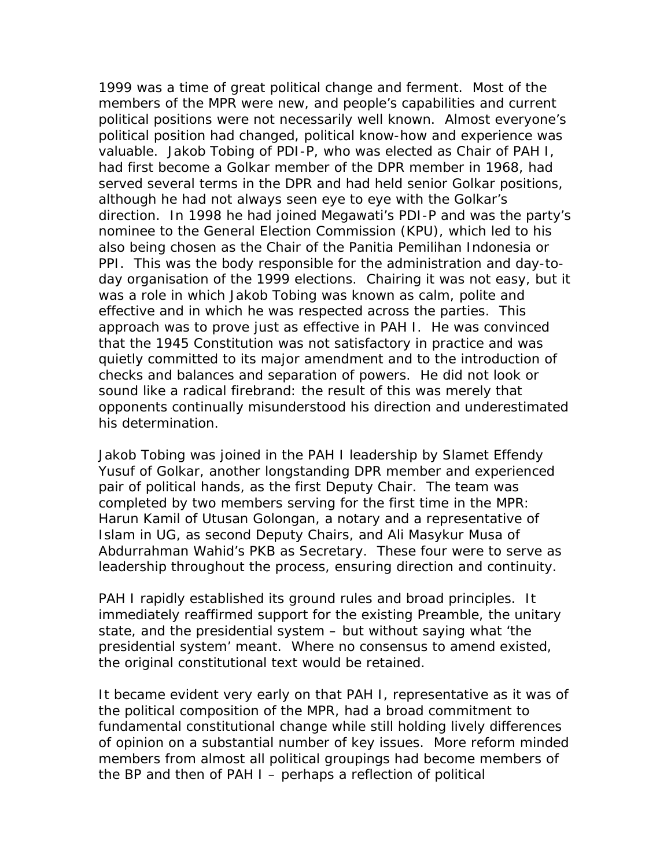1999 was a time of great political change and ferment. Most of the members of the MPR were new, and people's capabilities and current political positions were not necessarily well known. Almost everyone's political position had changed, political know-how and experience was valuable. Jakob Tobing of PDI-P, who was elected as Chair of PAH I, had first become a Golkar member of the DPR member in 1968, had served several terms in the DPR and had held senior Golkar positions, although he had not always seen eye to eye with the Golkar's direction. In 1998 he had joined Megawati's PDI-P and was the party's nominee to the General Election Commission (KPU), which led to his also being chosen as the Chair of the *Panitia Pemilihan Indonesia* or PPI. This was the body responsible for the administration and day-today organisation of the 1999 elections. Chairing it was not easy, but it was a role in which Jakob Tobing was known as calm, polite and effective and in which he was respected across the parties. This approach was to prove just as effective in PAH I. He was convinced that the 1945 Constitution was not satisfactory in practice and was quietly committed to its major amendment and to the introduction of checks and balances and separation of powers. He did not look or sound like a radical firebrand: the result of this was merely that opponents continually misunderstood his direction and underestimated his determination.

Jakob Tobing was joined in the PAH I leadership by Slamet Effendy Yusuf of Golkar, another longstanding DPR member and experienced pair of political hands, as the first Deputy Chair. The team was completed by two members serving for the first time in the MPR: Harun Kamil of *Utusan Golongan,* a notary and a representative of Islam in UG, as second Deputy Chairs, and Ali Masykur Musa of Abdurrahman Wahid's PKB as Secretary. These four were to serve as leadership throughout the process, ensuring direction and continuity.

PAH I rapidly established its ground rules and broad principles. It immediately reaffirmed support for the existing Preamble, the unitary state, and the presidential system – but without saying what 'the presidential system' meant. Where no consensus to amend existed, the original constitutional text would be retained.

It became evident very early on that PAH I, representative as it was of the political composition of the MPR, had a broad commitment to fundamental constitutional change while still holding lively differences of opinion on a substantial number of key issues. More reform minded members from almost all political groupings had become members of the BP and then of PAH I – perhaps a reflection of political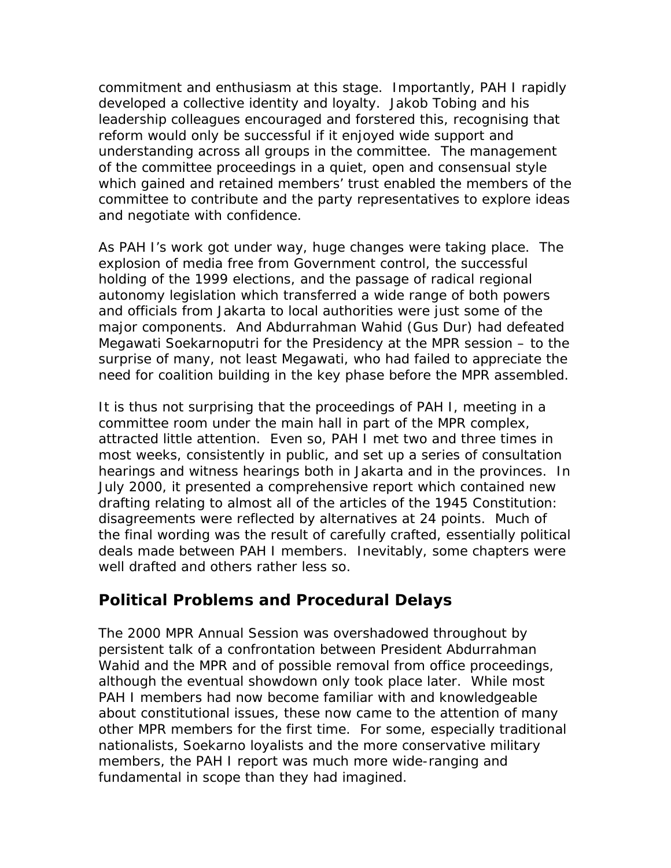commitment and enthusiasm at this stage. Importantly, PAH I rapidly developed a collective identity and loyalty. Jakob Tobing and his leadership colleagues encouraged and forstered this, recognising that reform would only be successful if it enjoyed wide support and understanding across all groups in the committee. The management of the committee proceedings in a quiet, open and consensual style which gained and retained members' trust enabled the members of the committee to contribute and the party representatives to explore ideas and negotiate with confidence.

As PAH I's work got under way, huge changes were taking place. The explosion of media free from Government control, the successful holding of the 1999 elections, and the passage of radical regional autonomy legislation which transferred a wide range of both powers and officials from Jakarta to local authorities were just some of the major components. And Abdurrahman Wahid (Gus Dur) had defeated Megawati Soekarnoputri for the Presidency at the MPR session – to the surprise of many, not least Megawati, who had failed to appreciate the need for coalition building in the key phase before the MPR assembled.

It is thus not surprising that the proceedings of PAH I, meeting in a committee room under the main hall in part of the MPR complex, attracted little attention. Even so, PAH I met two and three times in most weeks, consistently in public, and set up a series of consultation hearings and witness hearings both in Jakarta and in the provinces. In July 2000, it presented a comprehensive report which contained new drafting relating to almost all of the articles of the 1945 Constitution: disagreements were reflected by alternatives at 24 points. Much of the final wording was the result of carefully crafted, essentially political deals made between PAH I members. Inevitably, some chapters were well drafted and others rather less so.

#### *Political Problems and Procedural Delays*

The 2000 MPR Annual Session was overshadowed throughout by persistent talk of a confrontation between President Abdurrahman Wahid and the MPR and of possible removal from office proceedings, although the eventual showdown only took place later. While most PAH I members had now become familiar with and knowledgeable about constitutional issues, these now came to the attention of many other MPR members for the first time. For some, especially traditional nationalists, Soekarno loyalists and the more conservative military members, the PAH I report was much more wide-ranging and fundamental in scope than they had imagined.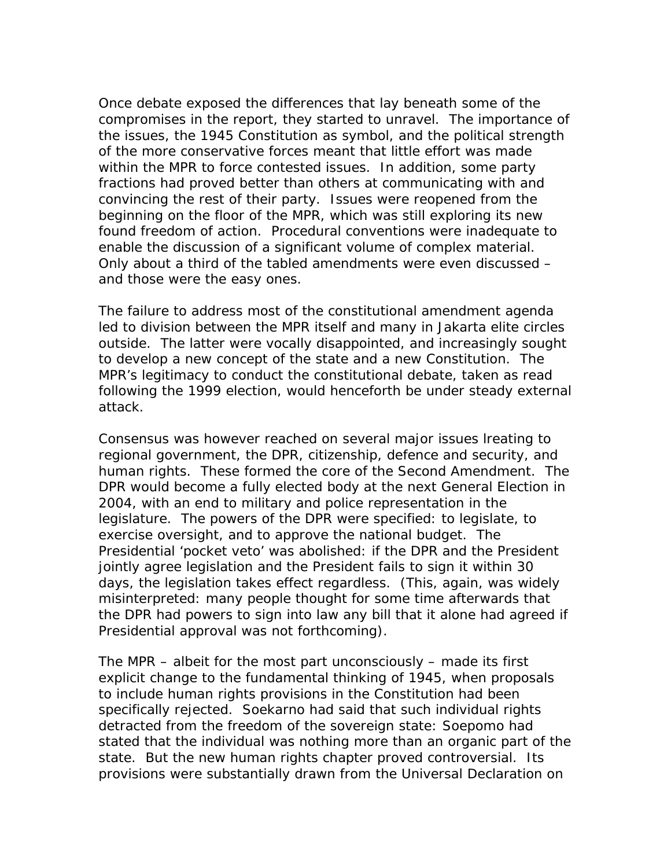Once debate exposed the differences that lay beneath some of the compromises in the report, they started to unravel. The importance of the issues, the 1945 Constitution as symbol, and the political strength of the more conservative forces meant that little effort was made within the MPR to force contested issues. In addition, some party fractions had proved better than others at communicating with and convincing the rest of their party. Issues were reopened from the beginning on the floor of the MPR, which was still exploring its new found freedom of action. Procedural conventions were inadequate to enable the discussion of a significant volume of complex material. Only about a third of the tabled amendments were even discussed – and those were the easy ones.

The failure to address most of the constitutional amendment agenda led to division between the MPR itself and many in Jakarta elite circles outside. The latter were vocally disappointed, and increasingly sought to develop a new concept of the state and a new Constitution. The MPR's legitimacy to conduct the constitutional debate, taken as read following the 1999 election, would henceforth be under steady external attack.

Consensus was however reached on several major issues lreating to regional government, the DPR, citizenship, defence and security, and human rights. These formed the core of the Second Amendment. The DPR would become a fully elected body at the next General Election in 2004, with an end to military and police representation in the legislature. The powers of the DPR were specified: to legislate, to exercise oversight, and to approve the national budget. The Presidential 'pocket veto' was abolished: if the DPR and the President jointly agree legislation and the President fails to sign it within 30 days, the legislation takes effect regardless. (This, again, was widely misinterpreted: many people thought for some time afterwards that the DPR had powers to sign into law any bill that it alone had agreed if Presidential approval was not forthcoming).

The MPR – albeit for the most part unconsciously – made its first explicit change to the fundamental thinking of 1945, when proposals to include human rights provisions in the Constitution had been specifically rejected. Soekarno had said that such individual rights detracted from the freedom of the sovereign state: Soepomo had stated that the individual was nothing more than an organic part of the state. But the new human rights chapter proved controversial. Its provisions were substantially drawn from the Universal Declaration on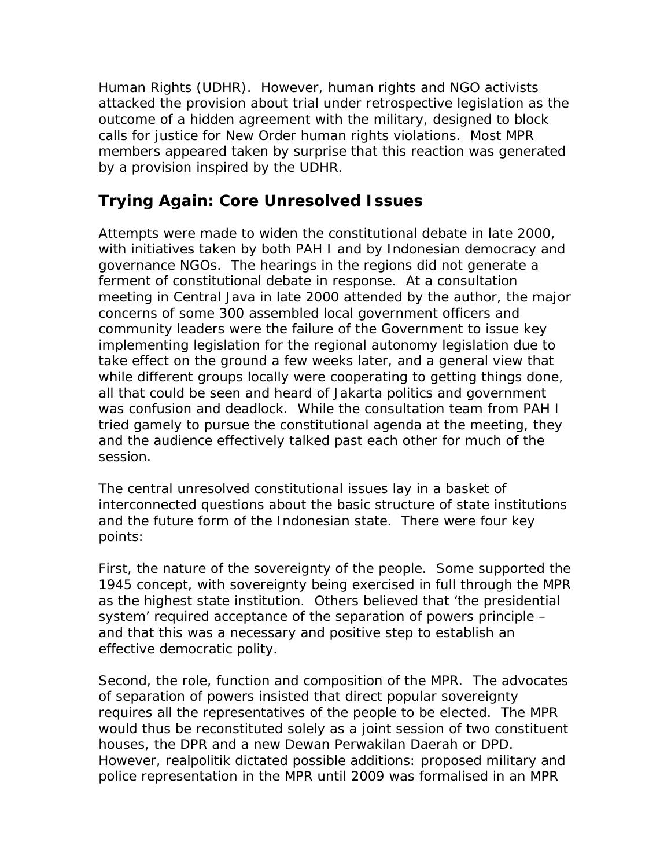Human Rights (UDHR). However, human rights and NGO activists attacked the provision about trial under retrospective legislation as the outcome of a hidden agreement with the military, designed to block calls for justice for New Order human rights violations. Most MPR members appeared taken by surprise that this reaction was generated by a provision inspired by the UDHR.

## *Trying Again: Core Unresolved Issues*

Attempts were made to widen the constitutional debate in late 2000, with initiatives taken by both PAH I and by Indonesian democracy and governance NGOs. The hearings in the regions did not generate a ferment of constitutional debate in response. At a consultation meeting in Central Java in late 2000 attended by the author, the major concerns of some 300 assembled local government officers and community leaders were the failure of the Government to issue key implementing legislation for the regional autonomy legislation due to take effect on the ground a few weeks later, and a general view that while different groups locally were cooperating to getting things done, all that could be seen and heard of Jakarta politics and government was confusion and deadlock. While the consultation team from PAH I tried gamely to pursue the constitutional agenda at the meeting, they and the audience effectively talked past each other for much of the session.

The central unresolved constitutional issues lay in a basket of interconnected questions about the basic structure of state institutions and the future form of the Indonesian state. There were four key points:

First, the nature of the sovereignty of the people. Some supported the 1945 concept, with sovereignty being exercised in full through the MPR as the highest state institution. Others believed that 'the presidential system' required acceptance of the separation of powers principle – and that this was a necessary and positive step to establish an effective democratic polity.

Second, the role, function and composition of the MPR. The advocates of separation of powers insisted that direct popular sovereignty requires all the representatives of the people to be elected. The MPR would thus be reconstituted solely as a joint session of two constituent houses, the DPR and a new *Dewan Perwakilan Daerah* or DPD. However, *realpolitik* dictated possible additions: proposed military and police representation in the MPR until 2009 was formalised in an MPR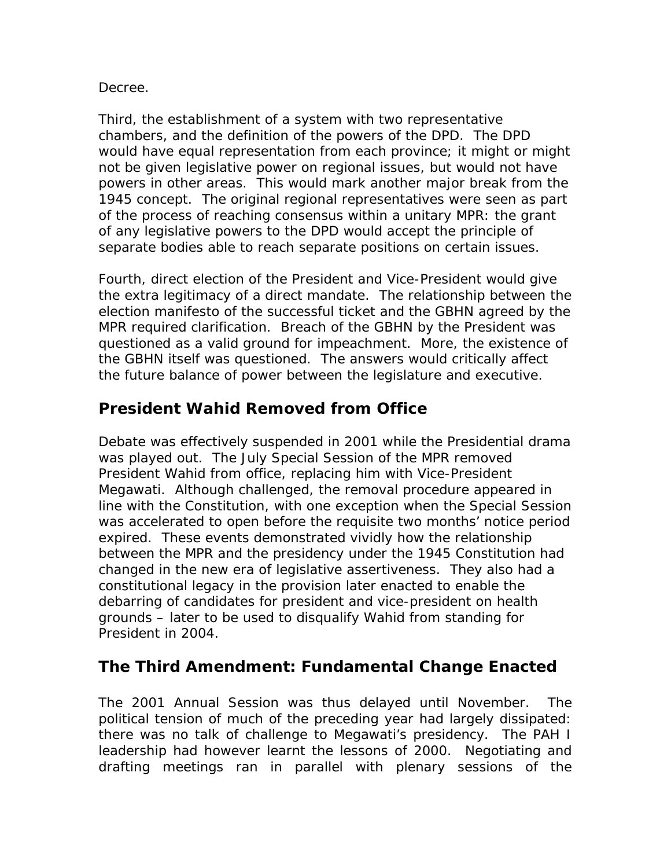#### Decree.

Third, the establishment of a system with two representative chambers, and the definition of the powers of the DPD. The DPD would have equal representation from each province; it might or might not be given legislative power on regional issues, but would not have powers in other areas. This would mark another major break from the 1945 concept. The original regional representatives were seen as part of the process of reaching consensus within a unitary MPR: the grant of any legislative powers to the DPD would accept the principle of separate bodies able to reach separate positions on certain issues.

Fourth, direct election of the President and Vice-President would give the extra legitimacy of a direct mandate. The relationship between the election manifesto of the successful ticket and the GBHN agreed by the MPR required clarification. Breach of the GBHN by the President was questioned as a valid ground for impeachment. More, the existence of the GBHN itself was questioned. The answers would critically affect the future balance of power between the legislature and executive.

#### *President Wahid Removed from Office*

Debate was effectively suspended in 2001 while the Presidential drama was played out. The July Special Session of the MPR removed President Wahid from office, replacing him with Vice-President Megawati. Although challenged, the removal procedure appeared in line with the Constitution, with one exception when the Special Session was accelerated to open before the requisite two months' notice period expired. These events demonstrated vividly how the relationship between the MPR and the presidency under the 1945 Constitution had changed in the new era of legislative assertiveness. They also had a constitutional legacy in the provision later enacted to enable the debarring of candidates for president and vice-president on health grounds – later to be used to disqualify Wahid from standing for President in 2004.

#### *The Third Amendment: Fundamental Change Enacted*

The 2001 Annual Session was thus delayed until November. The political tension of much of the preceding year had largely dissipated: there was no talk of challenge to Megawati's presidency. The PAH I leadership had however learnt the lessons of 2000. Negotiating and drafting meetings ran in parallel with plenary sessions of the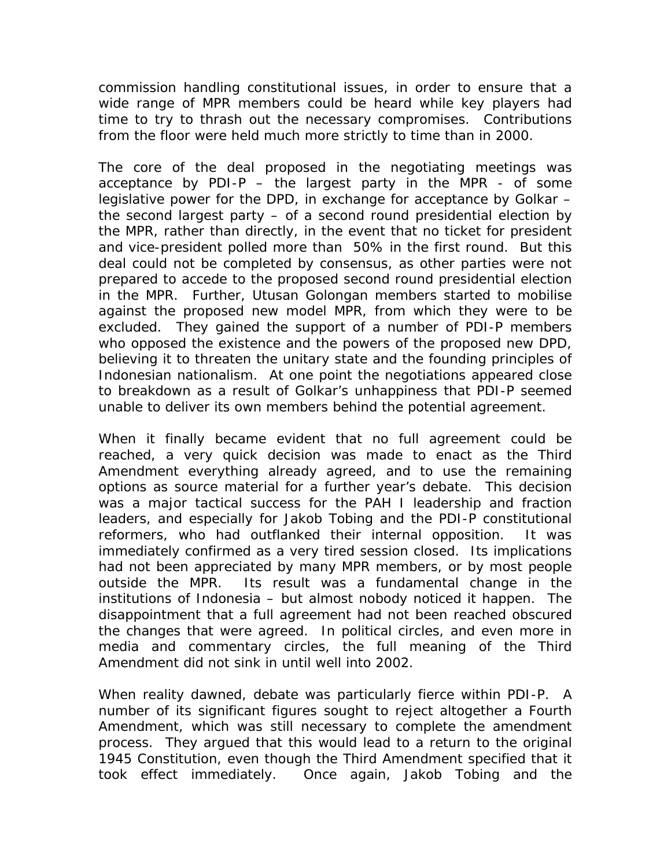commission handling constitutional issues, in order to ensure that a wide range of MPR members could be heard while key players had time to try to thrash out the necessary compromises. Contributions from the floor were held much more strictly to time than in 2000.

The core of the deal proposed in the negotiating meetings was acceptance by PDI-P  $-$  the largest party in the MPR - of some legislative power for the DPD, in exchange for acceptance by Golkar – the second largest party – of a second round presidential election by the MPR, rather than directly, in the event that no ticket for president and vice-president polled more than 50% in the first round. But this deal could not be completed by consensus, as other parties were not prepared to accede to the proposed second round presidential election in the MPR. Further, *Utusan Golongan* members started to mobilise against the proposed new model MPR, from which they were to be excluded. They gained the support of a number of PDI-P members who opposed the existence and the powers of the proposed new DPD, believing it to threaten the unitary state and the founding principles of Indonesian nationalism. At one point the negotiations appeared close to breakdown as a result of Golkar's unhappiness that PDI-P seemed unable to deliver its own members behind the potential agreement.

When it finally became evident that no full agreement could be reached, a very quick decision was made to enact as the Third Amendment everything already agreed, and to use the remaining options as source material for a further year's debate. This decision was a major tactical success for the PAH I leadership and fraction leaders, and especially for Jakob Tobing and the PDI-P constitutional reformers, who had outflanked their internal opposition. It was immediately confirmed as a very tired session closed. Its implications had not been appreciated by many MPR members, or by most people outside the MPR. Its result was a fundamental change in the institutions of Indonesia – but almost nobody noticed it happen. The disappointment that a full agreement had not been reached obscured the changes that were agreed. In political circles, and even more in media and commentary circles, the full meaning of the Third Amendment did not sink in until well into 2002.

When reality dawned, debate was particularly fierce within PDI-P. A number of its significant figures sought to reject altogether a Fourth Amendment, which was still necessary to complete the amendment process. They argued that this would lead to a return to the original 1945 Constitution, even though the Third Amendment specified that it took effect immediately. Once again, Jakob Tobing and the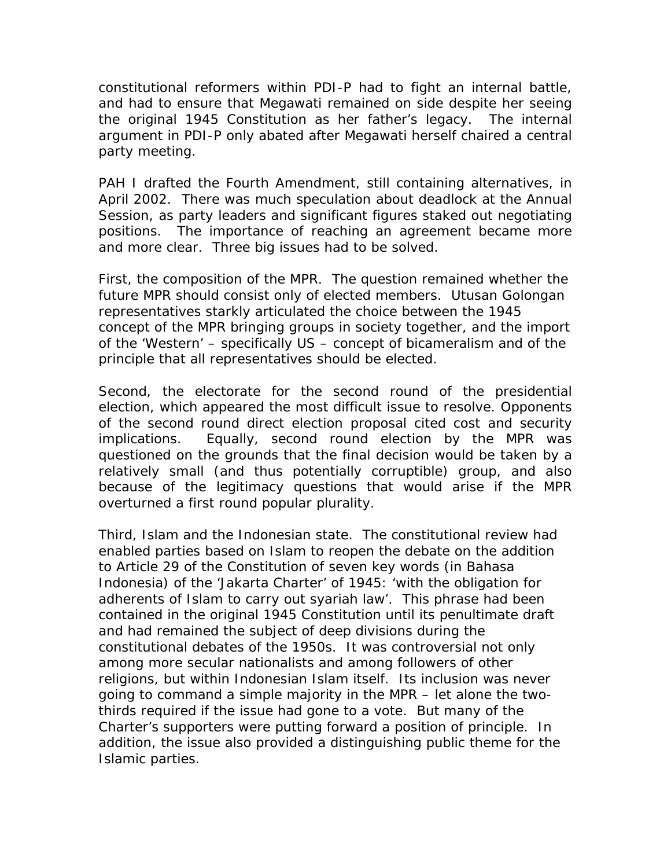constitutional reformers within PDI-P had to fight an internal battle, and had to ensure that Megawati remained on side despite her seeing the original 1945 Constitution as her father's legacy. The internal argument in PDI-P only abated after Megawati herself chaired a central party meeting.

PAH I drafted the Fourth Amendment, still containing alternatives, in April 2002. There was much speculation about deadlock at the Annual Session, as party leaders and significant figures staked out negotiating positions. The importance of reaching an agreement became more and more clear. Three big issues had to be solved.

First, the composition of the MPR. The question remained whether the future MPR should consist only of elected members. *Utusan Golongan*  representatives starkly articulated the choice between the 1945 concept of the MPR bringing groups in society together, and the import of the 'Western' – specifically US – concept of bicameralism and of the principle that all representatives should be elected.

Second, the electorate for the second round of the presidential election, which appeared the most difficult issue to resolve. Opponents of the second round direct election proposal cited cost and security implications. Equally, second round election by the MPR was questioned on the grounds that the final decision would be taken by a relatively small (and thus potentially corruptible) group, and also because of the legitimacy questions that would arise if the MPR overturned a first round popular plurality.

Third, Islam and the Indonesian state. The constitutional review had enabled parties based on Islam to reopen the debate on the addition to Article 29 of the Constitution of seven key words (in Bahasa Indonesia) of the 'Jakarta Charter' of 1945: 'with the obligation for adherents of Islam to carry out syariah law'. This phrase had been contained in the original 1945 Constitution until its penultimate draft and had remained the subject of deep divisions during the constitutional debates of the 1950s. It was controversial not only among more secular nationalists and among followers of other religions, but within Indonesian Islam itself. Its inclusion was never going to command a simple majority in the MPR – let alone the twothirds required if the issue had gone to a vote. But many of the Charter's supporters were putting forward a position of principle. In addition, the issue also provided a distinguishing public theme for the Islamic parties.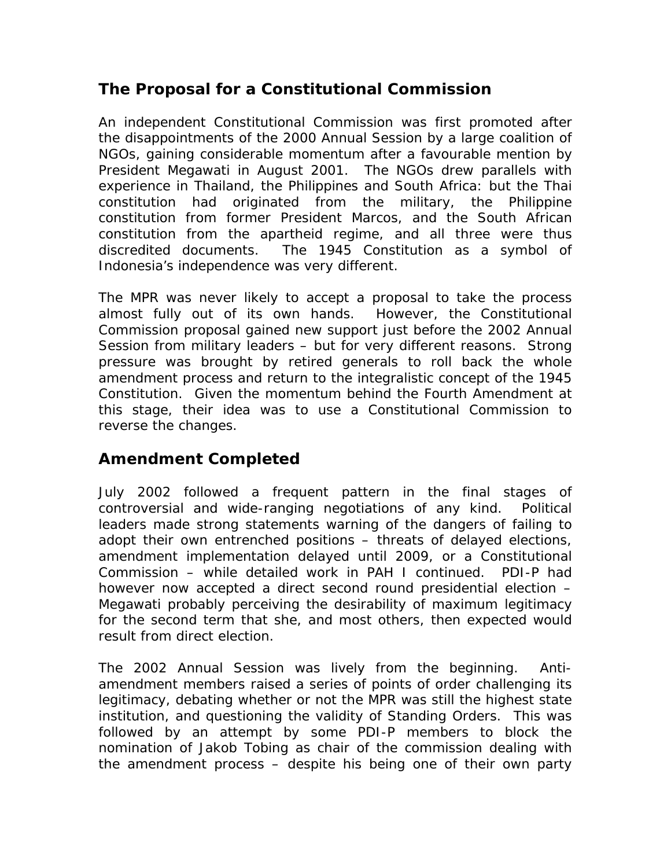## *The Proposal for a Constitutional Commission*

An independent Constitutional Commission was first promoted after the disappointments of the 2000 Annual Session by a large coalition of NGOs, gaining considerable momentum after a favourable mention by President Megawati in August 2001. The NGOs drew parallels with experience in Thailand, the Philippines and South Africa: but the Thai constitution had originated from the military, the Philippine constitution from former President Marcos, and the South African constitution from the apartheid regime, and all three were thus discredited documents. The 1945 Constitution as a symbol of Indonesia's independence was very different.

The MPR was never likely to accept a proposal to take the process almost fully out of its own hands. However, the Constitutional Commission proposal gained new support just before the 2002 Annual Session from military leaders – but for very different reasons. Strong pressure was brought by retired generals to roll back the whole amendment process and return to the integralistic concept of the 1945 Constitution. Given the momentum behind the Fourth Amendment at this stage, their idea was to use a Constitutional Commission to reverse the changes.

#### *Amendment Completed*

July 2002 followed a frequent pattern in the final stages of controversial and wide-ranging negotiations of any kind. Political leaders made strong statements warning of the dangers of failing to adopt their own entrenched positions – threats of delayed elections, amendment implementation delayed until 2009, or a Constitutional Commission – while detailed work in PAH I continued. PDI-P had however now accepted a direct second round presidential election – Megawati probably perceiving the desirability of maximum legitimacy for the second term that she, and most others, then expected would result from direct election.

The 2002 Annual Session was lively from the beginning. Antiamendment members raised a series of points of order challenging its legitimacy, debating whether or not the MPR was still the highest state institution, and questioning the validity of Standing Orders. This was followed by an attempt by some PDI-P members to block the nomination of Jakob Tobing as chair of the commission dealing with the amendment process – despite his being one of their own party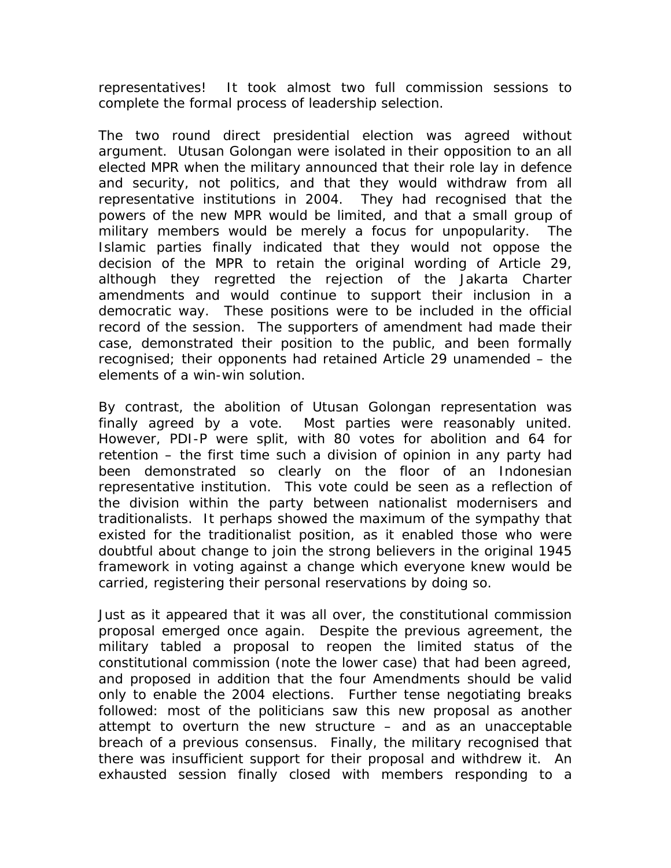representatives! It took almost two full commission sessions to complete the formal process of leadership selection.

The two round direct presidential election was agreed without argument. *Utusan Golongan* were isolated in their opposition to an all elected MPR when the military announced that their role lay in defence and security, not politics, and that they would withdraw from all representative institutions in 2004. They had recognised that the powers of the new MPR would be limited, and that a small group of military members would be merely a focus for unpopularity. The Islamic parties finally indicated that they would not oppose the decision of the MPR to retain the original wording of Article 29, although they regretted the rejection of the Jakarta Charter amendments and would continue to support their inclusion in a democratic way. These positions were to be included in the official record of the session. The supporters of amendment had made their case, demonstrated their position to the public, and been formally recognised; their opponents had retained Article 29 unamended – the elements of a win-win solution.

By contrast, the abolition of *Utusan Golongan* representation was finally agreed by a vote. Most parties were reasonably united. However, PDI-P were split, with 80 votes for abolition and 64 for retention – the first time such a division of opinion in any party had been demonstrated so clearly on the floor of an Indonesian representative institution. This vote could be seen as a reflection of the division within the party between nationalist modernisers and traditionalists. It perhaps showed the maximum of the sympathy that existed for the traditionalist position, as it enabled those who were doubtful about change to join the strong believers in the original 1945 framework in voting against a change which everyone knew would be carried, registering their personal reservations by doing so.

Just as it appeared that it was all over, the constitutional commission proposal emerged once again. Despite the previous agreement, the military tabled a proposal to reopen the limited status of the constitutional commission (note the lower case) that had been agreed, and proposed in addition that the four Amendments should be valid only to enable the 2004 elections. Further tense negotiating breaks followed: most of the politicians saw this new proposal as another attempt to overturn the new structure – and as an unacceptable breach of a previous consensus. Finally, the military recognised that there was insufficient support for their proposal and withdrew it. An exhausted session finally closed with members responding to a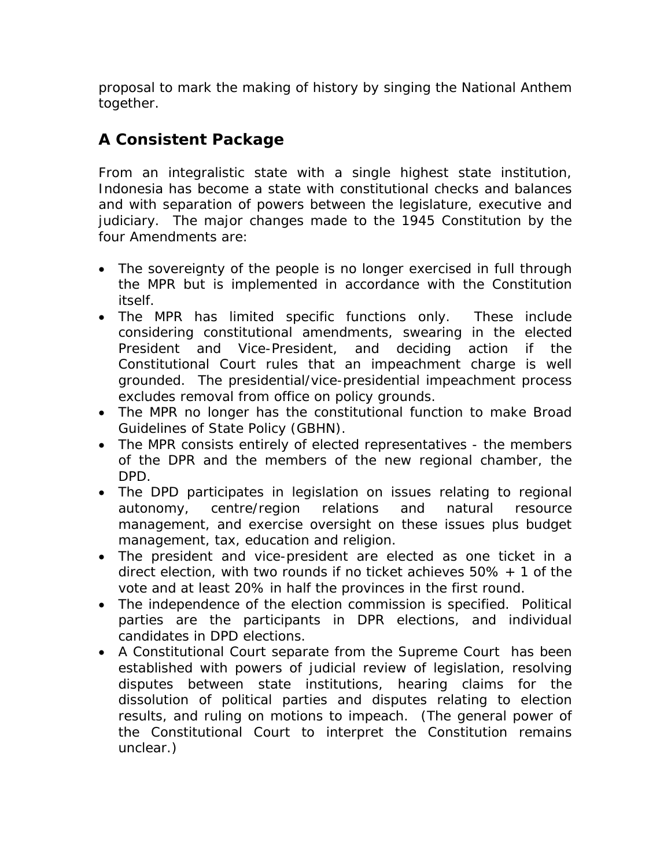proposal to mark the making of history by singing the National Anthem together.

## *A Consistent Package*

From an integralistic state with a single highest state institution, Indonesia has become a state with constitutional checks and balances and with separation of powers between the legislature, executive and judiciary. The major changes made to the 1945 Constitution by the four Amendments are:

- The sovereignty of the people is no longer exercised in full through the MPR but is implemented in accordance with the Constitution itself.
- The MPR has limited specific functions only. These include considering constitutional amendments, swearing in the elected President and Vice-President, and deciding action if the Constitutional Court rules that an impeachment charge is well grounded. The presidential/vice-presidential impeachment process excludes removal from office on policy grounds.
- The MPR no longer has the constitutional function to make Broad Guidelines of State Policy (GBHN).
- The MPR consists entirely of elected representatives the members of the DPR and the members of the new regional chamber, the DPD.
- The DPD participates in legislation on issues relating to regional autonomy, centre/region relations and natural resource management, and exercise oversight on these issues plus budget management, tax, education and religion.
- The president and vice-president are elected as one ticket in a direct election, with two rounds if no ticket achieves 50% + 1 of the vote and at least 20% in half the provinces in the first round.
- The independence of the election commission is specified. Political parties are the participants in DPR elections, and individual candidates in DPD elections.
- A Constitutional Court separate from the Supreme Court has been established with powers of judicial review of legislation, resolving disputes between state institutions, hearing claims for the dissolution of political parties and disputes relating to election results, and ruling on motions to impeach. (The general power of the Constitutional Court to interpret the Constitution remains unclear.)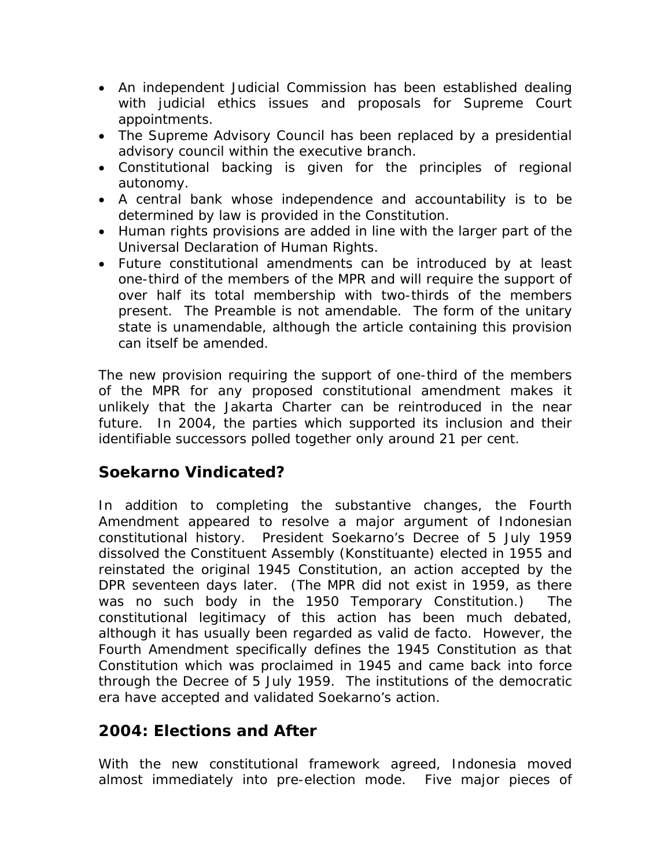- An independent Judicial Commission has been established dealing with judicial ethics issues and proposals for Supreme Court appointments.
- The Supreme Advisory Council has been replaced by a presidential advisory council within the executive branch.
- Constitutional backing is given for the principles of regional autonomy.
- A central bank whose independence and accountability is to be determined by law is provided in the Constitution.
- Human rights provisions are added in line with the larger part of the Universal Declaration of Human Rights.
- Future constitutional amendments can be introduced by at least one-third of the members of the MPR and will require the support of over half its total membership with two-thirds of the members present. The Preamble is not amendable. The form of the unitary state is unamendable, although the article containing this provision can itself be amended.

The new provision requiring the support of one-third of the members of the MPR for any proposed constitutional amendment makes it unlikely that the Jakarta Charter can be reintroduced in the near future. In 2004, the parties which supported its inclusion and their identifiable successors polled together only around 21 per cent.

## *Soekarno Vindicated?*

In addition to completing the substantive changes, the Fourth Amendment appeared to resolve a major argument of Indonesian constitutional history. President Soekarno's Decree of 5 July 1959 dissolved the Constituent Assembly (*Konstituante*) elected in 1955 and reinstated the original 1945 Constitution, an action accepted by the DPR seventeen days later. (The MPR did not exist in 1959, as there was no such body in the 1950 Temporary Constitution.) The constitutional legitimacy of this action has been much debated, although it has usually been regarded as valid *de facto.* However, the Fourth Amendment specifically defines the 1945 Constitution as that Constitution which was proclaimed in 1945 and came back into force through the Decree of 5 July 1959. The institutions of the democratic era have accepted and validated Soekarno's action.

## *2004: Elections and After*

With the new constitutional framework agreed, Indonesia moved almost immediately into pre-election mode. Five major pieces of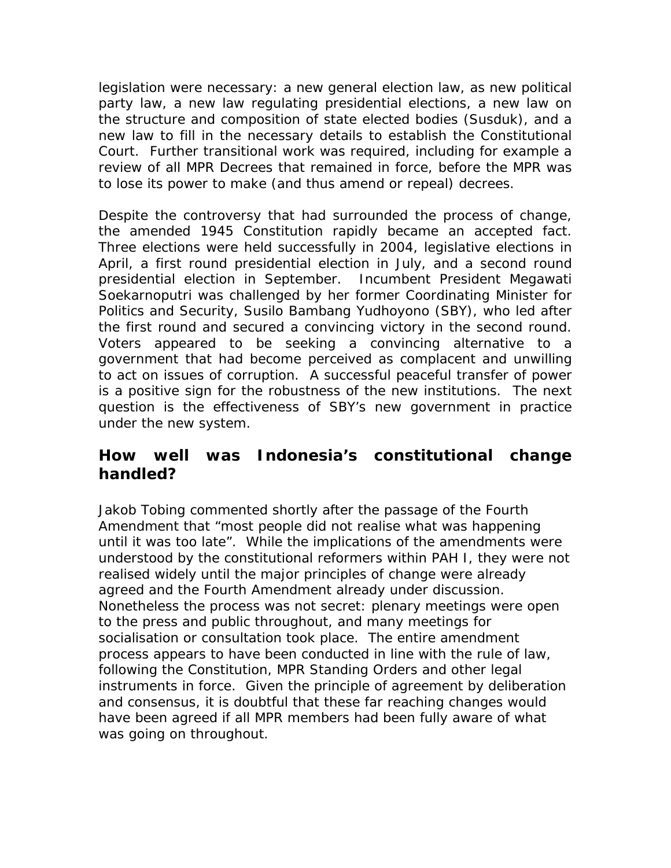legislation were necessary: a new general election law, as new political party law, a new law regulating presidential elections, a new law on the structure and composition of state elected bodies (*Susduk),* and a new law to fill in the necessary details to establish the Constitutional Court. Further transitional work was required, including for example a review of all MPR Decrees that remained in force, before the MPR was to lose its power to make (and thus amend or repeal) decrees.

Despite the controversy that had surrounded the process of change, the amended 1945 Constitution rapidly became an accepted fact. Three elections were held successfully in 2004, legislative elections in April, a first round presidential election in July, and a second round presidential election in September. Incumbent President Megawati Soekarnoputri was challenged by her former Coordinating Minister for Politics and Security, Susilo Bambang Yudhoyono (SBY), who led after the first round and secured a convincing victory in the second round. Voters appeared to be seeking a convincing alternative to a government that had become perceived as complacent and unwilling to act on issues of corruption. A successful peaceful transfer of power is a positive sign for the robustness of the new institutions. The next question is the effectiveness of SBY's new government in practice under the new system.

#### *How well was Indonesia's constitutional change handled?*

Jakob Tobing commented shortly after the passage of the Fourth Amendment that "most people did not realise what was happening until it was too late". While the implications of the amendments were understood by the constitutional reformers within PAH I, they were not realised widely until the major principles of change were already agreed and the Fourth Amendment already under discussion. Nonetheless the process was not secret: plenary meetings were open to the press and public throughout, and many meetings for socialisation or consultation took place. The entire amendment process appears to have been conducted in line with the rule of law, following the Constitution, MPR Standing Orders and other legal instruments in force. Given the principle of agreement by deliberation and consensus, it is doubtful that these far reaching changes would have been agreed if all MPR members had been fully aware of what was going on throughout.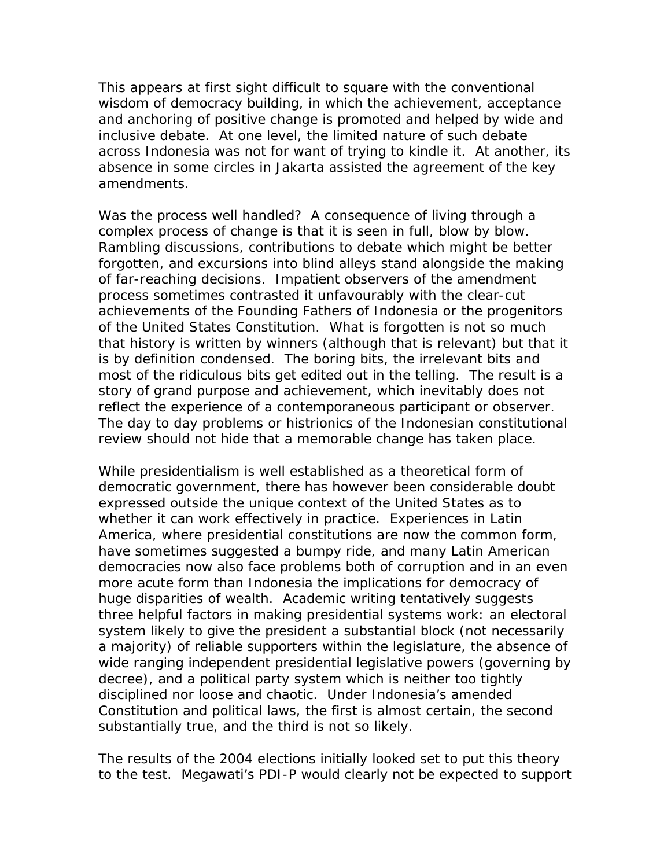This appears at first sight difficult to square with the conventional wisdom of democracy building, in which the achievement, acceptance and anchoring of positive change is promoted and helped by wide and inclusive debate. At one level, the limited nature of such debate across Indonesia was not for want of trying to kindle it. At another, its absence in some circles in Jakarta assisted the agreement of the key amendments.

Was the process well handled? A consequence of living through a complex process of change is that it is seen in full, blow by blow. Rambling discussions, contributions to debate which might be better forgotten, and excursions into blind alleys stand alongside the making of far-reaching decisions. Impatient observers of the amendment process sometimes contrasted it unfavourably with the clear-cut achievements of the Founding Fathers of Indonesia or the progenitors of the United States Constitution. What is forgotten is not so much that history is written by winners (although that is relevant) but that it is by definition condensed. The boring bits, the irrelevant bits and most of the ridiculous bits get edited out in the telling. The result is a story of grand purpose and achievement, which inevitably does not reflect the experience of a contemporaneous participant or observer. The day to day problems or histrionics of the Indonesian constitutional review should not hide that a memorable change has taken place.

While presidentialism is well established as a theoretical form of democratic government, there has however been considerable doubt expressed outside the unique context of the United States as to whether it can work effectively in practice. Experiences in Latin America, where presidential constitutions are now the common form, have sometimes suggested a bumpy ride, and many Latin American democracies now also face problems both of corruption and in an even more acute form than Indonesia the implications for democracy of huge disparities of wealth. Academic writing tentatively suggests three helpful factors in making presidential systems work: an electoral system likely to give the president a substantial block (not necessarily a majority) of reliable supporters within the legislature, the absence of wide ranging independent presidential legislative powers (governing by decree), and a political party system which is neither too tightly disciplined nor loose and chaotic. Under Indonesia's amended Constitution and political laws, the first is almost certain, the second substantially true, and the third is not so likely.

The results of the 2004 elections initially looked set to put this theory to the test. Megawati's PDI-P would clearly not be expected to support